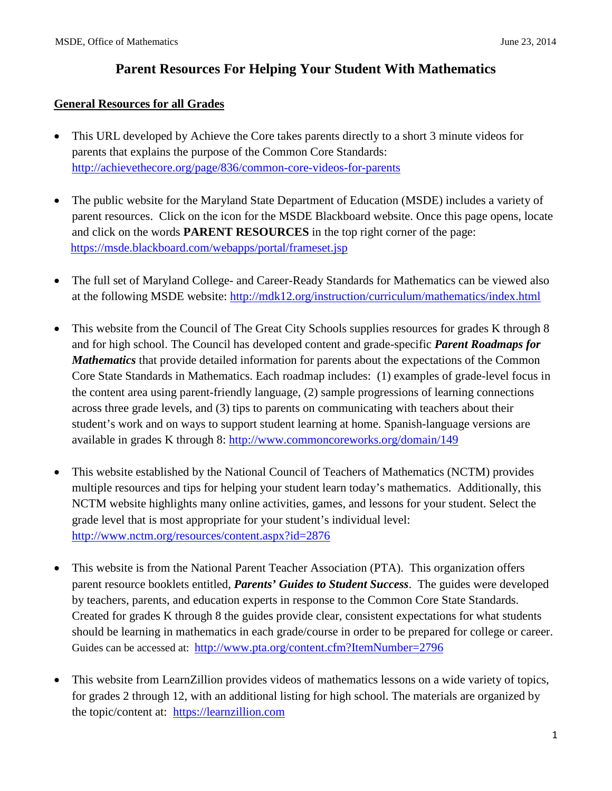# **Parent Resources For Helping Your Student With Mathematics**

#### **General Resources for all Grades**

- This URL developed by Achieve the Core takes parents directly to a short 3 minute videos for parents that explains the purpose of the Common Core Standards: <http://achievethecore.org/page/836/common-core-videos-for-parents>
- The public website for the Maryland State Department of Education (MSDE) includes a variety of parent resources. Click on the icon for the MSDE Blackboard website. Once this page opens, locate and click on the words **PARENT RESOURCES** in the top right corner of the page: <https://msde.blackboard.com/webapps/portal/frameset.jsp>
- The full set of Maryland College- and Career-Ready Standards for Mathematics can be viewed also at the following MSDE website:<http://mdk12.org/instruction/curriculum/mathematics/index.html>
- This website from the Council of The Great City Schools supplies resources for grades K through 8 and for high school. The Council has developed content and grade-specific *Parent Roadmaps for Mathematics* that provide detailed information for parents about the expectations of the Common Core State Standards in Mathematics. Each roadmap includes: (1) examples of grade-level focus in the content area using parent-friendly language, (2) sample progressions of learning connections across three grade levels, and (3) tips to parents on communicating with teachers about their student's work and on ways to support student learning at home. Spanish-language versions are available in grades K through 8: <http://www.commoncoreworks.org/domain/149>
- This website established by the National Council of Teachers of Mathematics (NCTM) provides multiple resources and tips for helping your student learn today's mathematics. Additionally, this NCTM website highlights many online activities, games, and lessons for your student. Select the grade level that is most appropriate for your student's individual level: <http://www.nctm.org/resources/content.aspx?id=2876>
- This website is from the National Parent Teacher Association (PTA). This organization offers parent resource booklets entitled, *Parents' Guides to Student Success*. The guides were developed by teachers, parents, and education experts in response to the [Common Core State Standards.](http://www.pta.org/advocacy/content.cfm?ItemNumber=3008) Created for grades K through 8 the guides provide clear, consistent expectations for what students should be learning in mathematics in each grade/course in order to be prepared for college or career. Guides can be accessed at: <http://www.pta.org/content.cfm?ItemNumber=2796>
- This website from LearnZillion provides videos of mathematics lessons on a wide variety of topics, for grades 2 through 12, with an additional listing for high school. The materials are organized by the topic/content at: [https://learnzillion.com](https://learnzillion.com/)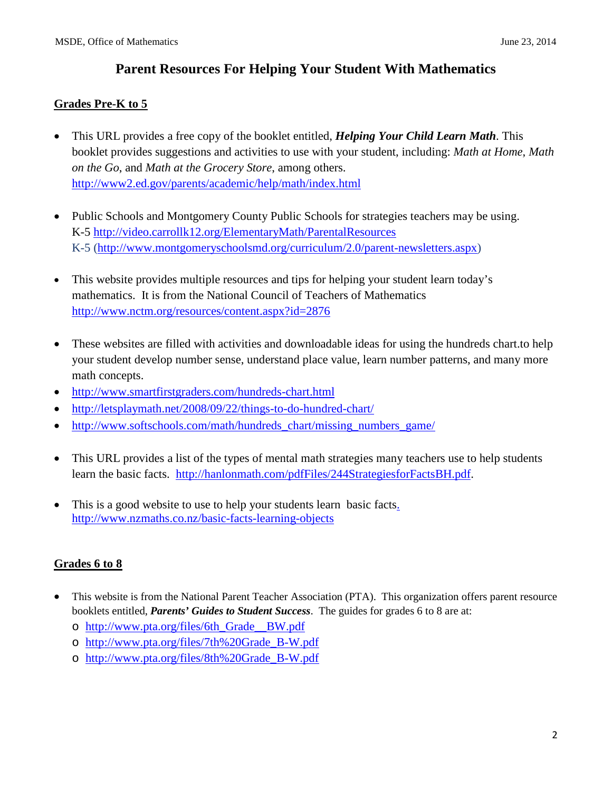# **Parent Resources For Helping Your Student With Mathematics**

#### **Grades Pre-K to 5**

- This URL provides a free copy of the booklet entitled, *Helping Your Child Learn Math*. This booklet provides suggestions and activities to use with your student, including: *Math at Home*, *Math on the Go*, and *Math at the Grocery Store*, among others. <http://www2.ed.gov/parents/academic/help/math/index.html>
- Public Schools and Montgomery County Public Schools for strategies teachers may be using. K-5<http://video.carrollk12.org/ElementaryMath/ParentalResources> K-5 [\(http://www.montgomeryschoolsmd.org/curriculum/2.0/parent-newsletters.aspx\)](http://www.montgomeryschoolsmd.org/curriculum/2.0/parent-newsletters.aspx)
- This website provides multiple resources and tips for helping your student learn today's mathematics. It is from the National Council of Teachers of Mathematics <http://www.nctm.org/resources/content.aspx?id=2876>
- These websites are filled with activities and downloadable ideas for using the hundreds chart.to help your student develop number sense, understand place value, learn number patterns, and many more math concepts.
- <http://www.smartfirstgraders.com/hundreds-chart.html>
- <http://letsplaymath.net/2008/09/22/things-to-do-hundred-chart/>
- http://www.softschools.com/math/hundreds chart/missing numbers game/
- This URL provides a list of the types of mental math strategies many teachers use to help students learn the basic facts. [http://hanlonmath.com/pdfFiles/244StrategiesforFactsBH.pdf.](http://hanlonmath.com/pdfFiles/244StrategiesforFactsBH.pdf)
- This is a good website to use to help your students learn basic facts. http://www.nzmaths.co.nz/basic-facts-learning-objects

### **Grades 6 to 8**

- This website is from the National Parent Teacher Association (PTA). This organization offers parent resource booklets entitled, *Parents' Guides to Student Success*. The guides for grades 6 to 8 are at:
	- o [http://www.pta.org/files/6th\\_Grade\\_\\_BW.pdf](http://www.pta.org/files/6th_Grade__BW.pdf)
	- o [http://www.pta.org/files/7th%20Grade\\_B-W.pdf](http://www.pta.org/files/7th%20Grade_B-W.pdf)
	- o http://www.pta.org/files/8th%20Grade\_B-W.pdf